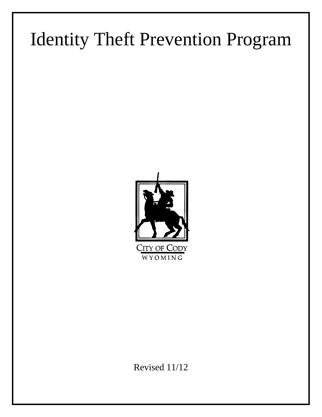# Identity Theft Prevention Program



Revised 11/12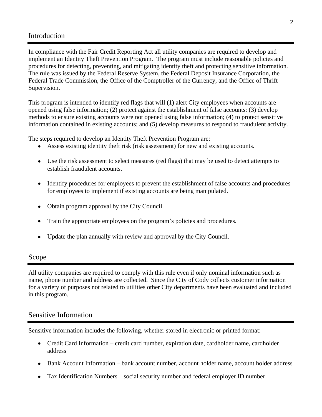## Introduction

In compliance with the Fair Credit Reporting Act all utility companies are required to develop and implement an Identity Theft Prevention Program. The program must include reasonable policies and procedures for detecting, preventing, and mitigating identity theft and protecting sensitive information. The rule was issued by the Federal Reserve System, the Federal Deposit Insurance Corporation, the Federal Trade Commission, the Office of the Comptroller of the Currency, and the Office of Thrift Supervision.

This program is intended to identify red flags that will (1) alert City employees when accounts are opened using false information; (2) protect against the establishment of false accounts: (3) develop methods to ensure existing accounts were not opened using false information; (4) to protect sensitive information contained in existing accounts; and (5) develop measures to respond to fraudulent activity.

The steps required to develop an Identity Theft Prevention Program are:

- Assess existing identity theft risk (risk assessment) for new and existing accounts.
- Use the risk assessment to select measures (red flags) that may be used to detect attempts to establish fraudulent accounts.
- Identify procedures for employees to prevent the establishment of false accounts and procedures for employees to implement if existing accounts are being manipulated.
- Obtain program approval by the City Council.
- Train the appropriate employees on the program's policies and procedures.
- Update the plan annually with review and approval by the City Council.

### Scope

All utility companies are required to comply with this rule even if only nominal information such as name, phone number and address are collected. Since the City of Cody collects customer information for a variety of purposes not related to utilities other City departments have been evaluated and included in this program.

### Sensitive Information

Sensitive information includes the following, whether stored in electronic or printed format:

- Credit Card Information credit card number, expiration date, cardholder name, cardholder address
- Bank Account Information bank account number, account holder name, account holder address
- Tax Identification Numbers social security number and federal employer ID number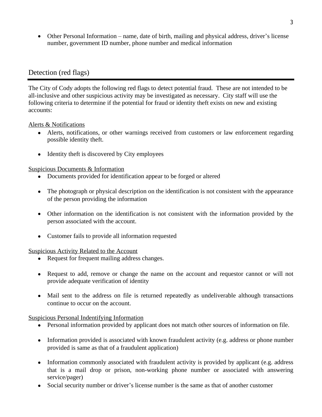Other Personal Information – name, date of birth, mailing and physical address, driver's license number, government ID number, phone number and medical information

## Detection (red flags)

The City of Cody adopts the following red flags to detect potential fraud. These are not intended to be all-inclusive and other suspicious activity may be investigated as necessary. City staff will use the following criteria to determine if the potential for fraud or identity theft exists on new and existing accounts:

Alerts & Notifications

- Alerts, notifications, or other warnings received from customers or law enforcement regarding possible identity theft.
- Identity theft is discovered by City employees

Suspicious Documents & Information

- Documents provided for identification appear to be forged or altered
- The photograph or physical description on the identification is not consistent with the appearance of the person providing the information
- Other information on the identification is not consistent with the information provided by the person associated with the account.
- Customer fails to provide all information requested

Suspicious Activity Related to the Account

- Request for frequent mailing address changes.
- Request to add, remove or change the name on the account and requestor cannot or will not provide adequate verification of identity
- Mail sent to the address on file is returned repeatedly as undeliverable although transactions continue to occur on the account.

Suspicious Personal Indentifying Information

- Personal information provided by applicant does not match other sources of information on file.
- Information provided is associated with known fraudulent activity (e.g. address or phone number provided is same as that of a fraudulent application)
- Information commonly associated with fraudulent activity is provided by applicant (e.g. address that is a mail drop or prison, non-working phone number or associated with answering service/pager)
- Social security number or driver's license number is the same as that of another customer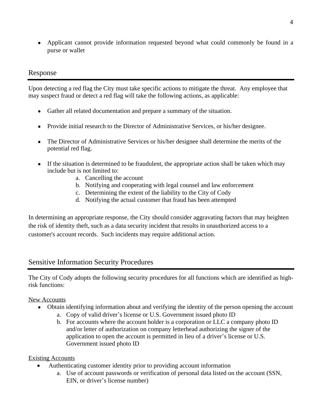Applicant cannot provide information requested beyond what could commonly be found in a purse or wallet

## Response

Upon detecting a red flag the City must take specific actions to mitigate the threat. Any employee that may suspect fraud or detect a red flag will take the following actions, as applicable:

- Gather all related documentation and prepare a summary of the situation.
- Provide initial research to the Director of Administrative Services, or his/her designee.
- The Director of Administrative Services or his/her designee shall determine the merits of the potential red flag.
- If the situation is determined to be fraudulent, the appropriate action shall be taken which may include but is not limited to:
	- a. Cancelling the account
	- b. Notifying and cooperating with legal counsel and law enforcement
	- c. Determining the extent of the liability to the City of Cody
	- d. Notifying the actual customer that fraud has been attempted

In determining an appropriate response, the City should consider aggravating factors that may heighten the risk of identity theft, such as a data security incident that results in unauthorized access to a customer's account records. Such incidents may require additional action.

## Sensitive Information Security Procedures

The City of Cody adopts the following security procedures for all functions which are identified as highrisk functions:

### New Accounts

- Obtain identifying information about and verifying the identity of the person opening the account
	- a. Copy of valid driver's license or U.S. Government issued photo ID
	- b. For accounts where the account holder is a corporation or LLC a company photo ID and/or letter of authorization on company letterhead authorizing the signer of the application to open the account is permitted in lieu of a driver's license or U.S. Government issued photo ID

### Existing Accounts

- Authenticating customer identity prior to providing account information
	- a. Use of account passwords or verification of personal data listed on the account (SSN, EIN, or driver's license number)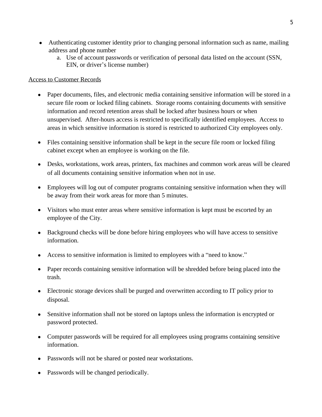- Authenticating customer identity prior to changing personal information such as name, mailing address and phone number
	- a. Use of account passwords or verification of personal data listed on the account (SSN, EIN, or driver's license number)

#### Access to Customer Records

- Paper documents, files, and electronic media containing sensitive information will be stored in a secure file room or locked filing cabinets. Storage rooms containing documents with sensitive information and record retention areas shall be locked after business hours or when unsupervised. After-hours access is restricted to specifically identified employees. Access to areas in which sensitive information is stored is restricted to authorized City employees only.
- Files containing sensitive information shall be kept in the secure file room or locked filing cabinet except when an employee is working on the file.
- Desks, workstations, work areas, printers, fax machines and common work areas will be cleared of all documents containing sensitive information when not in use.
- Employees will log out of computer programs containing sensitive information when they will be away from their work areas for more than 5 minutes.
- Visitors who must enter areas where sensitive information is kept must be escorted by an employee of the City.
- Background checks will be done before hiring employees who will have access to sensitive information.
- Access to sensitive information is limited to employees with a "need to know."
- Paper records containing sensitive information will be shredded before being placed into the trash.
- Electronic storage devices shall be purged and overwritten according to IT policy prior to disposal.
- Sensitive information shall not be stored on laptops unless the information is encrypted or password protected.
- Computer passwords will be required for all employees using programs containing sensitive information.
- Passwords will not be shared or posted near workstations.
- Passwords will be changed periodically.